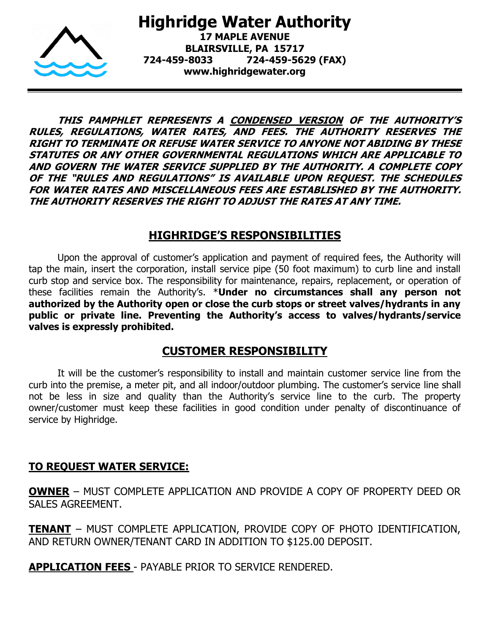

**Highridge Water Authority 17 MAPLE AVENUE BLAIRSVILLE, PA 15717 724-459-8033 724-459-5629 (FAX) www.highridgewater.org**

**THIS PAMPHLET REPRESENTS A CONDENSED VERSION OF THE AUTHORITY'S RULES, REGULATIONS, WATER RATES, AND FEES. THE AUTHORITY RESERVES THE RIGHT TO TERMINATE OR REFUSE WATER SERVICE TO ANYONE NOT ABIDING BY THESE STATUTES OR ANY OTHER GOVERNMENTAL REGULATIONS WHICH ARE APPLICABLE TO AND GOVERN THE WATER SERVICE SUPPLIED BY THE AUTHORITY. A COMPLETE COPY OF THE "RULES AND REGULATIONS" IS AVAILABLE UPON REQUEST. THE SCHEDULES FOR WATER RATES AND MISCELLANEOUS FEES ARE ESTABLISHED BY THE AUTHORITY. THE AUTHORITY RESERVES THE RIGHT TO ADJUST THE RATES AT ANY TIME.**

### **HIGHRIDGE'S RESPONSIBILITIES**

Upon the approval of customer's application and payment of required fees, the Authority will tap the main, insert the corporation, install service pipe (50 foot maximum) to curb line and install curb stop and service box. The responsibility for maintenance, repairs, replacement, or operation of these facilities remain the Authority's. \***Under no circumstances shall any person not authorized by the Authority open or close the curb stops or street valves/hydrants in any public or private line. Preventing the Authority's access to valves/hydrants/service valves is expressly prohibited.**

### **CUSTOMER RESPONSIBILITY**

It will be the customer's responsibility to install and maintain customer service line from the curb into the premise, a meter pit, and all indoor/outdoor plumbing. The customer's service line shall not be less in size and quality than the Authority's service line to the curb. The property owner/customer must keep these facilities in good condition under penalty of discontinuance of service by Highridge.

### **TO REQUEST WATER SERVICE:**

**OWNER** – MUST COMPLETE APPLICATION AND PROVIDE A COPY OF PROPERTY DEED OR SALES AGREEMENT.

**TENANT** – MUST COMPLETE APPLICATION, PROVIDE COPY OF PHOTO IDENTIFICATION, AND RETURN OWNER/TENANT CARD IN ADDITION TO \$125.00 DEPOSIT.

**APPLICATION FEES** - PAYABLE PRIOR TO SERVICE RENDERED.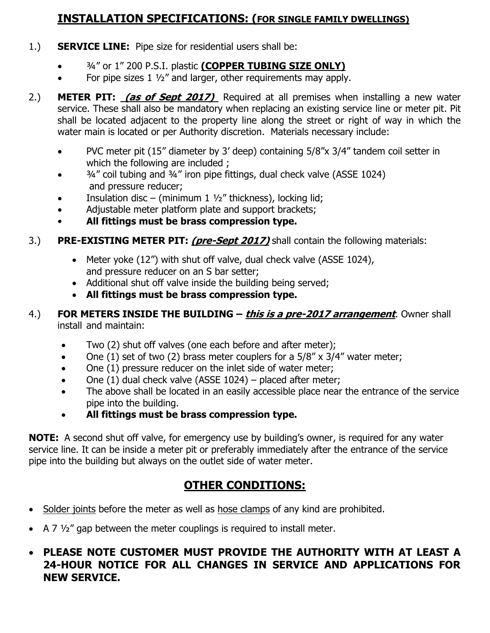# **INSTALLATION SPECIFICATIONS: (FOR SINGLE FAMILY DWELLINGS)**

- 1.) **SERVICE LINE:** Pipe size for residential users shall be:
	- ¾" or 1" 200 P.S.I. plastic **(COPPER TUBING SIZE ONLY)**
	- For pipe sizes  $1\frac{1}{2}$  and larger, other requirements may apply.
- 2.) **METER PIT: (as of Sept 2017)** Required at all premises when installing a new water service. These shall also be mandatory when replacing an existing service line or meter pit. Pit shall be located adjacent to the property line along the street or right of way in which the water main is located or per Authority discretion. Materials necessary include:
	- PVC meter pit (15" diameter by 3' deep) containing 5/8"x 3/4" tandem coil setter in which the following are included ;
	- ¾" coil tubing and ¾" iron pipe fittings, dual check valve (ASSE 1024) and pressure reducer;
	- Insulation disc (minimum 1  $\frac{1}{2}$ " thickness), locking lid;
	- Adjustable meter platform plate and support brackets;
	- **All fittings must be brass compression type.**
- 3.) **PRE-EXISTING METER PIT: (pre-Sept 2017)** shall contain the following materials:
	- Meter yoke (12") with shut off valve, dual check valve (ASSE 1024), and pressure reducer on an S bar setter;
	- Additional shut off valve inside the building being served;
	- **All fittings must be brass compression type.**

### 4.) **FOR METERS INSIDE THE BUILDING – this is a pre-2017 arrangement**. Owner shall install and maintain:

- Two (2) shut off valves (one each before and after meter);
- One (1) set of two (2) brass meter couplers for a  $5/8'' \times 3/4''$  water meter;
- One (1) pressure reducer on the inlet side of water meter;
- One  $(1)$  dual check valve (ASSE 1024) placed after meter;
- The above shall be located in an easily accessible place near the entrance of the service pipe into the building.
- **All fittings must be brass compression type.**

**NOTE:** A second shut off valve, for emergency use by building's owner, is required for any water service line. It can be inside a meter pit or preferably immediately after the entrance of the service pipe into the building but always on the outlet side of water meter.

# **OTHER CONDITIONS:**

- Solder joints before the meter as well as hose clamps of any kind are prohibited.
- A 7  $\frac{1}{2}$  gap between the meter couplings is required to install meter.
- **PLEASE NOTE CUSTOMER MUST PROVIDE THE AUTHORITY WITH AT LEAST A 24-HOUR NOTICE FOR ALL CHANGES IN SERVICE AND APPLICATIONS FOR NEW SERVICE.**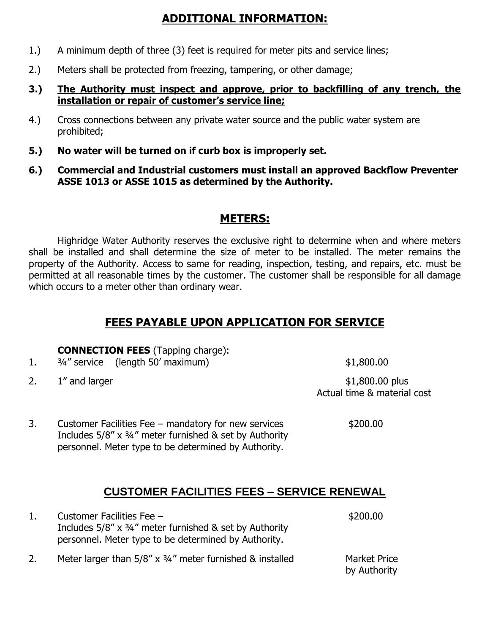# **ADDITIONAL INFORMATION:**

- 1.) A minimum depth of three (3) feet is required for meter pits and service lines;
- 2.) Meters shall be protected from freezing, tampering, or other damage;

#### **3.) The Authority must inspect and approve, prior to backfilling of any trench, the installation or repair of customer's service line;**

- 4.) Cross connections between any private water source and the public water system are prohibited;
- **5.) No water will be turned on if curb box is improperly set.**
- **6.) Commercial and Industrial customers must install an approved Backflow Preventer ASSE 1013 or ASSE 1015 as determined by the Authority.**

### **METERS:**

Highridge Water Authority reserves the exclusive right to determine when and where meters shall be installed and shall determine the size of meter to be installed. The meter remains the property of the Authority. Access to same for reading, inspection, testing, and repairs, etc. must be permitted at all reasonable times by the customer. The customer shall be responsible for all damage which occurs to a meter other than ordinary wear.

## **FEES PAYABLE UPON APPLICATION FOR SERVICE**

#### **CONNECTION FEES** (Tapping charge):

- 1. <sup>3/4"</sup> service (length 50' maximum) \$1,800.00
- 

2. 1" and larger  $$1,800.00$  plus Actual time & material cost

3. Customer Facilities Fee – mandatory for new services \$200.00 Includes 5/8" x ¾" meter furnished & set by Authority personnel. Meter type to be determined by Authority.

## **CUSTOMER FACILITIES FEES – SERVICE RENEWAL**

| 1. | Customer Facilities Fee -<br>Includes $5/8''$ x $\frac{3}{4}''$ meter furnished & set by Authority<br>personnel. Meter type to be determined by Authority. | \$200.00                            |
|----|------------------------------------------------------------------------------------------------------------------------------------------------------------|-------------------------------------|
| 2. | Meter larger than $5/8''$ x $\frac{3}{4}''$ meter furnished & installed                                                                                    | <b>Market Price</b><br>by Authority |